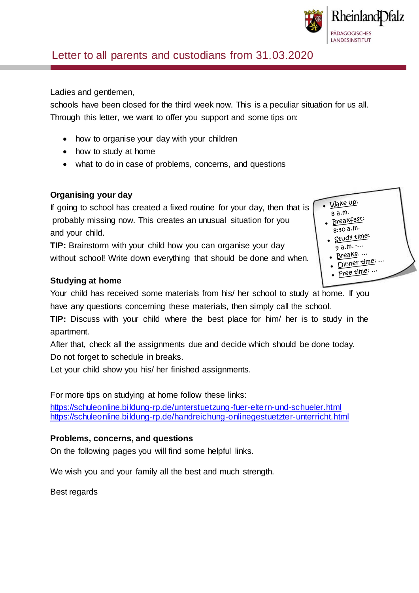

# Letter to all parents and custodians from 31.03.2020

Ladies and gentlemen,

 $\mathcal{S}_{\mathcal{S}}$  (Summary) and  $\mathcal{S}_{\mathcal{S}}$ 

schools have been closed for the third week now. This is a peculiar situation for us all. Through this letter, we want to offer you support and some tips on:

- how to organise your day with your children
- how to study at home
- what to do in case of problems, concerns, and questions

### **Organising your day**

If going to school has created a fixed routine for your day, then that is probably missing now. This creates an unusual situation for you and your child.

**TIP:** Brainstorm with your child how you can organise your day without school! Write down everything that should be done and when.

#### **Studying at home**

Your child has received some materials from his/ her school to study at home. If you have any questions concerning these materials, then simply call the school.

**TIP:** Discuss with your child where the best place for him/ her is to study in the apartment.

After that, check all the assignments due and decide which should be done today. Do not forget to schedule in breaks.

Let your child show you his/ her finished assignments.

For more tips on studying at home follow these links:

https://schuleonline.bildung-rp.de/unterstuetzung-fuer-eltern-und-schueler.html <https://schuleonline.bildung-rp.de/handreichung-onlinegestuetzter-unterricht.html>

#### **Problems, concerns, and questions**

On the following pages you will find some helpful links.

We wish you and your family all the best and much strength.

Best regards

- Wake up:  $8a.m.$ 
	- Breakfast:
	- $8:30a.m.$ Study time:
		- $9a.m.$  ...
	- Breaks: ... Dinner time: ...
	- Free time: ...
	-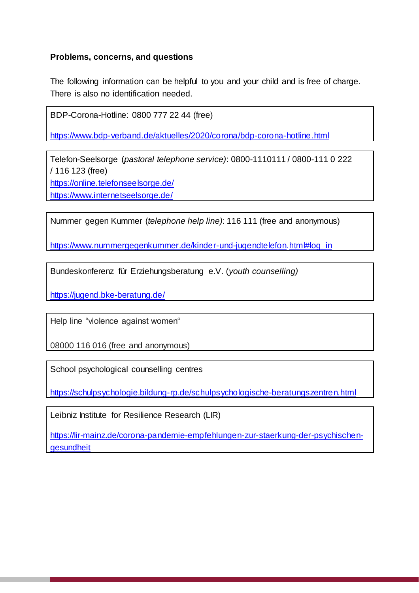#### **Problems, concerns, and questions**

The following information can be helpful to you and your child and is free of charge. There is also no identification needed.

BDP-Corona-Hotline: 0800 777 22 44 (free)

https://www.bdp-verband.de/aktuelles/2020/corona/bdp-corona-hotline.html

Telefon-Seelsorge (*pastoral telephone service)*: 0800-1110111 / 0800-111 0 222 / 116 123 (free)

<https://online.telefonseelsorge.de/>

<https://www.internetseelsorge.de/>

Nummer gegen Kummer (*telephone help line)*: 116 111 (free and anonymous)

[https://www.nummergegenkummer.de/kinder-und-jugendtelefon.h](https://www.nummergegenkummer.de/kinder-und-jugendtelefon)tml#log\_in

Bundeskonferenz für Erziehungsberatung e.V. (*youth counselling)*

https://jugend.bke-beratung.de/

Help line "violence against women"

08000 116 016 (free and anonymous)

School psychological counselling centres

<https://schulpsychologie.bildung-rp.de/schulpsychologische-beratungszentren.html>

Leibniz Institute for Resilience Research (LIR)

[https://lir-mainz.de/corona-pandemie-empfehlungen-zur-staerkung-der-psychischen](https://lir-mainz.de/corona-pandemie-empfehlungen-zur-staerkung-der-psychischen-gesundheit)[gesundheit](https://lir-mainz.de/corona-pandemie-empfehlungen-zur-staerkung-der-psychischen-gesundheit)